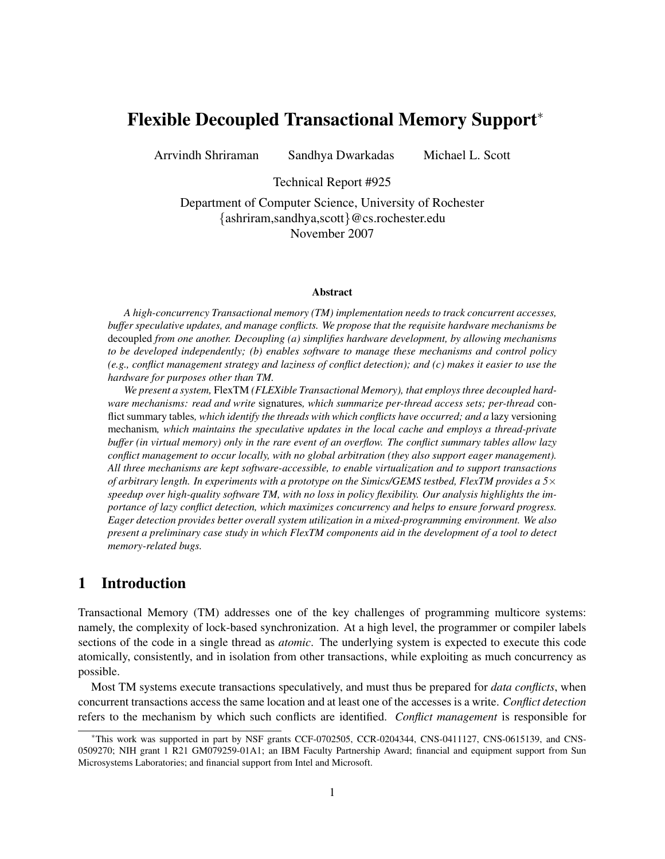# Flexible Decoupled Transactional Memory Support<sup>∗</sup>

Arrvindh Shriraman Sandhya Dwarkadas Michael L. Scott

Technical Report #925

Department of Computer Science, University of Rochester {ashriram,sandhya,scott}@cs.rochester.edu November 2007

#### Abstract

*A high-concurrency Transactional memory (TM) implementation needs to track concurrent accesses, buffer speculative updates, and manage conflicts. We propose that the requisite hardware mechanisms be* decoupled *from one another. Decoupling (a) simplifies hardware development, by allowing mechanisms to be developed independently; (b) enables software to manage these mechanisms and control policy (e.g., conflict management strategy and laziness of conflict detection); and (c) makes it easier to use the hardware for purposes other than TM.*

*We present a system,* FlexTM *(FLEXible Transactional Memory), that employs three decoupled hardware mechanisms: read and write* signatures*, which summarize per-thread access sets; per-thread* conflict summary tables*, which identify the threads with which conflicts have occurred; and a* lazy versioning mechanism*, which maintains the speculative updates in the local cache and employs a thread-private buffer (in virtual memory) only in the rare event of an overflow. The conflict summary tables allow lazy conflict management to occur locally, with no global arbitration (they also support eager management). All three mechanisms are kept software-accessible, to enable virtualization and to support transactions of arbitrary length. In experiments with a prototype on the Simics/GEMS testbed, FlexTM provides a 5*× *speedup over high-quality software TM, with no loss in policy flexibility. Our analysis highlights the importance of lazy conflict detection, which maximizes concurrency and helps to ensure forward progress. Eager detection provides better overall system utilization in a mixed-programming environment. We also present a preliminary case study in which FlexTM components aid in the development of a tool to detect memory-related bugs.*

## 1 Introduction

Transactional Memory (TM) addresses one of the key challenges of programming multicore systems: namely, the complexity of lock-based synchronization. At a high level, the programmer or compiler labels sections of the code in a single thread as *atomic*. The underlying system is expected to execute this code atomically, consistently, and in isolation from other transactions, while exploiting as much concurrency as possible.

Most TM systems execute transactions speculatively, and must thus be prepared for *data conflicts*, when concurrent transactions access the same location and at least one of the accesses is a write. *Conflict detection* refers to the mechanism by which such conflicts are identified. *Conflict management* is responsible for

<sup>∗</sup>This work was supported in part by NSF grants CCF-0702505, CCR-0204344, CNS-0411127, CNS-0615139, and CNS-0509270; NIH grant 1 R21 GM079259-01A1; an IBM Faculty Partnership Award; financial and equipment support from Sun Microsystems Laboratories; and financial support from Intel and Microsoft.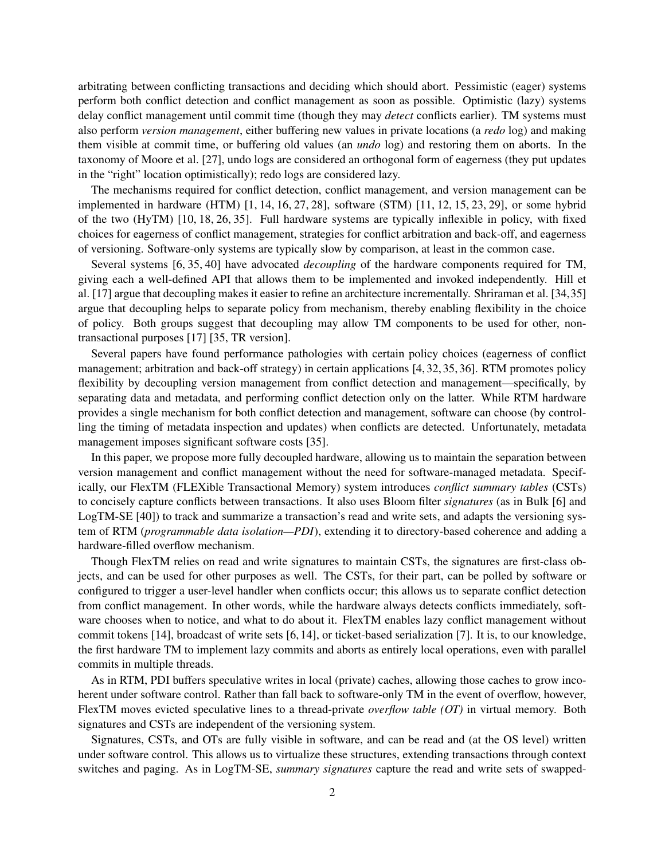arbitrating between conflicting transactions and deciding which should abort. Pessimistic (eager) systems perform both conflict detection and conflict management as soon as possible. Optimistic (lazy) systems delay conflict management until commit time (though they may *detect* conflicts earlier). TM systems must also perform *version management*, either buffering new values in private locations (a *redo* log) and making them visible at commit time, or buffering old values (an *undo* log) and restoring them on aborts. In the taxonomy of Moore et al. [27], undo logs are considered an orthogonal form of eagerness (they put updates in the "right" location optimistically); redo logs are considered lazy.

The mechanisms required for conflict detection, conflict management, and version management can be implemented in hardware (HTM) [1, 14, 16, 27, 28], software (STM) [11, 12, 15, 23, 29], or some hybrid of the two (HyTM) [10, 18, 26, 35]. Full hardware systems are typically inflexible in policy, with fixed choices for eagerness of conflict management, strategies for conflict arbitration and back-off, and eagerness of versioning. Software-only systems are typically slow by comparison, at least in the common case.

Several systems [6, 35, 40] have advocated *decoupling* of the hardware components required for TM, giving each a well-defined API that allows them to be implemented and invoked independently. Hill et al. [17] argue that decoupling makes it easier to refine an architecture incrementally. Shriraman et al. [34,35] argue that decoupling helps to separate policy from mechanism, thereby enabling flexibility in the choice of policy. Both groups suggest that decoupling may allow TM components to be used for other, nontransactional purposes [17] [35, TR version].

Several papers have found performance pathologies with certain policy choices (eagerness of conflict management; arbitration and back-off strategy) in certain applications [4, 32, 35, 36]. RTM promotes policy flexibility by decoupling version management from conflict detection and management—specifically, by separating data and metadata, and performing conflict detection only on the latter. While RTM hardware provides a single mechanism for both conflict detection and management, software can choose (by controlling the timing of metadata inspection and updates) when conflicts are detected. Unfortunately, metadata management imposes significant software costs [35].

In this paper, we propose more fully decoupled hardware, allowing us to maintain the separation between version management and conflict management without the need for software-managed metadata. Specifically, our FlexTM (FLEXible Transactional Memory) system introduces *conflict summary tables* (CSTs) to concisely capture conflicts between transactions. It also uses Bloom filter *signatures* (as in Bulk [6] and LogTM-SE [40]) to track and summarize a transaction's read and write sets, and adapts the versioning system of RTM (*programmable data isolation—PDI*), extending it to directory-based coherence and adding a hardware-filled overflow mechanism.

Though FlexTM relies on read and write signatures to maintain CSTs, the signatures are first-class objects, and can be used for other purposes as well. The CSTs, for their part, can be polled by software or configured to trigger a user-level handler when conflicts occur; this allows us to separate conflict detection from conflict management. In other words, while the hardware always detects conflicts immediately, software chooses when to notice, and what to do about it. FlexTM enables lazy conflict management without commit tokens [14], broadcast of write sets [6, 14], or ticket-based serialization [7]. It is, to our knowledge, the first hardware TM to implement lazy commits and aborts as entirely local operations, even with parallel commits in multiple threads.

As in RTM, PDI buffers speculative writes in local (private) caches, allowing those caches to grow incoherent under software control. Rather than fall back to software-only TM in the event of overflow, however, FlexTM moves evicted speculative lines to a thread-private *overflow table (OT)* in virtual memory. Both signatures and CSTs are independent of the versioning system.

Signatures, CSTs, and OTs are fully visible in software, and can be read and (at the OS level) written under software control. This allows us to virtualize these structures, extending transactions through context switches and paging. As in LogTM-SE, *summary signatures* capture the read and write sets of swapped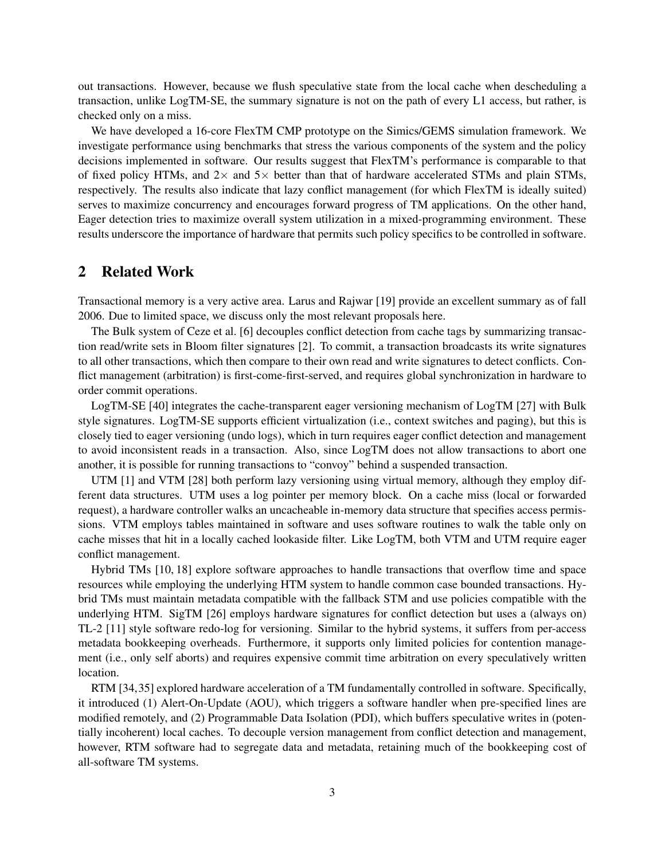out transactions. However, because we flush speculative state from the local cache when descheduling a transaction, unlike LogTM-SE, the summary signature is not on the path of every L1 access, but rather, is checked only on a miss.

We have developed a 16-core FlexTM CMP prototype on the Simics/GEMS simulation framework. We investigate performance using benchmarks that stress the various components of the system and the policy decisions implemented in software. Our results suggest that FlexTM's performance is comparable to that of fixed policy HTMs, and  $2\times$  and  $5\times$  better than that of hardware accelerated STMs and plain STMs, respectively. The results also indicate that lazy conflict management (for which FlexTM is ideally suited) serves to maximize concurrency and encourages forward progress of TM applications. On the other hand, Eager detection tries to maximize overall system utilization in a mixed-programming environment. These results underscore the importance of hardware that permits such policy specifics to be controlled in software.

## 2 Related Work

Transactional memory is a very active area. Larus and Rajwar [19] provide an excellent summary as of fall 2006. Due to limited space, we discuss only the most relevant proposals here.

The Bulk system of Ceze et al. [6] decouples conflict detection from cache tags by summarizing transaction read/write sets in Bloom filter signatures [2]. To commit, a transaction broadcasts its write signatures to all other transactions, which then compare to their own read and write signatures to detect conflicts. Conflict management (arbitration) is first-come-first-served, and requires global synchronization in hardware to order commit operations.

LogTM-SE [40] integrates the cache-transparent eager versioning mechanism of LogTM [27] with Bulk style signatures. LogTM-SE supports efficient virtualization (i.e., context switches and paging), but this is closely tied to eager versioning (undo logs), which in turn requires eager conflict detection and management to avoid inconsistent reads in a transaction. Also, since LogTM does not allow transactions to abort one another, it is possible for running transactions to "convoy" behind a suspended transaction.

UTM [1] and VTM [28] both perform lazy versioning using virtual memory, although they employ different data structures. UTM uses a log pointer per memory block. On a cache miss (local or forwarded request), a hardware controller walks an uncacheable in-memory data structure that specifies access permissions. VTM employs tables maintained in software and uses software routines to walk the table only on cache misses that hit in a locally cached lookaside filter. Like LogTM, both VTM and UTM require eager conflict management.

Hybrid TMs [10, 18] explore software approaches to handle transactions that overflow time and space resources while employing the underlying HTM system to handle common case bounded transactions. Hybrid TMs must maintain metadata compatible with the fallback STM and use policies compatible with the underlying HTM. SigTM [26] employs hardware signatures for conflict detection but uses a (always on) TL-2 [11] style software redo-log for versioning. Similar to the hybrid systems, it suffers from per-access metadata bookkeeping overheads. Furthermore, it supports only limited policies for contention management (i.e., only self aborts) and requires expensive commit time arbitration on every speculatively written location.

RTM [34,35] explored hardware acceleration of a TM fundamentally controlled in software. Specifically, it introduced (1) Alert-On-Update (AOU), which triggers a software handler when pre-specified lines are modified remotely, and (2) Programmable Data Isolation (PDI), which buffers speculative writes in (potentially incoherent) local caches. To decouple version management from conflict detection and management, however, RTM software had to segregate data and metadata, retaining much of the bookkeeping cost of all-software TM systems.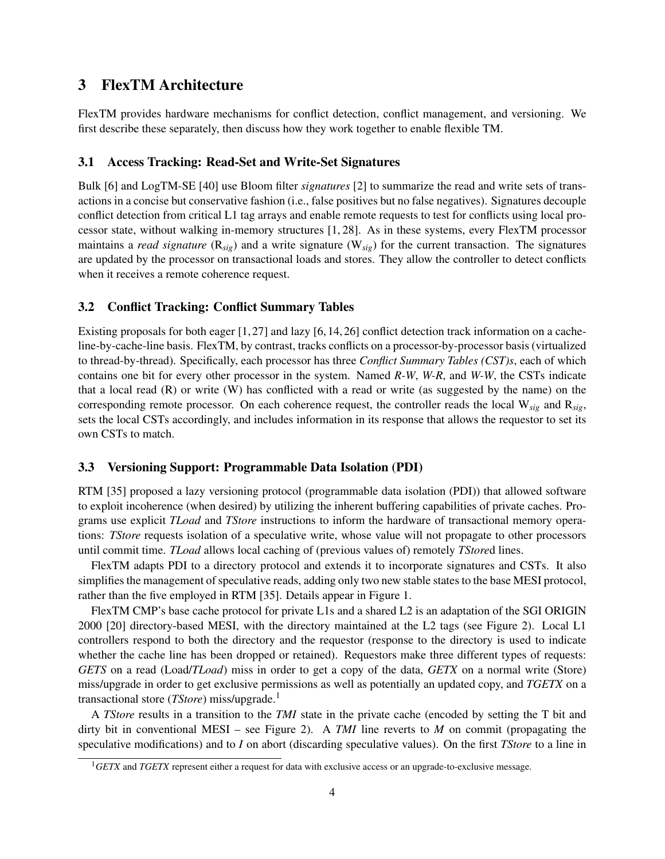## 3 FlexTM Architecture

FlexTM provides hardware mechanisms for conflict detection, conflict management, and versioning. We first describe these separately, then discuss how they work together to enable flexible TM.

### 3.1 Access Tracking: Read-Set and Write-Set Signatures

Bulk [6] and LogTM-SE [40] use Bloom filter *signatures* [2] to summarize the read and write sets of transactions in a concise but conservative fashion (i.e., false positives but no false negatives). Signatures decouple conflict detection from critical L1 tag arrays and enable remote requests to test for conflicts using local processor state, without walking in-memory structures [1, 28]. As in these systems, every FlexTM processor maintains a *read signature* (R*sig*) and a write signature (W*sig*) for the current transaction. The signatures are updated by the processor on transactional loads and stores. They allow the controller to detect conflicts when it receives a remote coherence request.

## 3.2 Conflict Tracking: Conflict Summary Tables

Existing proposals for both eager [1,27] and lazy [6, 14, 26] conflict detection track information on a cacheline-by-cache-line basis. FlexTM, by contrast, tracks conflicts on a processor-by-processor basis (virtualized to thread-by-thread). Specifically, each processor has three *Conflict Summary Tables (CST)s*, each of which contains one bit for every other processor in the system. Named *R-W*, *W-R*, and *W-W*, the CSTs indicate that a local read  $(R)$  or write  $(W)$  has conflicted with a read or write (as suggested by the name) on the corresponding remote processor. On each coherence request, the controller reads the local W*sig* and R*sig*, sets the local CSTs accordingly, and includes information in its response that allows the requestor to set its own CSTs to match.

### 3.3 Versioning Support: Programmable Data Isolation (PDI)

RTM [35] proposed a lazy versioning protocol (programmable data isolation (PDI)) that allowed software to exploit incoherence (when desired) by utilizing the inherent buffering capabilities of private caches. Programs use explicit *TLoad* and *TStore* instructions to inform the hardware of transactional memory operations: *TStore* requests isolation of a speculative write, whose value will not propagate to other processors until commit time. *TLoad* allows local caching of (previous values of) remotely *TStore*d lines.

FlexTM adapts PDI to a directory protocol and extends it to incorporate signatures and CSTs. It also simplifies the management of speculative reads, adding only two new stable states to the base MESI protocol, rather than the five employed in RTM [35]. Details appear in Figure 1.

FlexTM CMP's base cache protocol for private L1s and a shared L2 is an adaptation of the SGI ORIGIN 2000 [20] directory-based MESI, with the directory maintained at the L2 tags (see Figure 2). Local L1 controllers respond to both the directory and the requestor (response to the directory is used to indicate whether the cache line has been dropped or retained). Requestors make three different types of requests: *GETS* on a read (Load/*TLoad*) miss in order to get a copy of the data, *GETX* on a normal write (Store) miss/upgrade in order to get exclusive permissions as well as potentially an updated copy, and *TGETX* on a transactional store (*TStore*) miss/upgrade.<sup>1</sup>

A *TStore* results in a transition to the *TMI* state in the private cache (encoded by setting the T bit and dirty bit in conventional MESI – see Figure 2). A *TMI* line reverts to *M* on commit (propagating the speculative modifications) and to *I* on abort (discarding speculative values). On the first *TStore* to a line in

<sup>1</sup>*GETX* and *TGETX* represent either a request for data with exclusive access or an upgrade-to-exclusive message.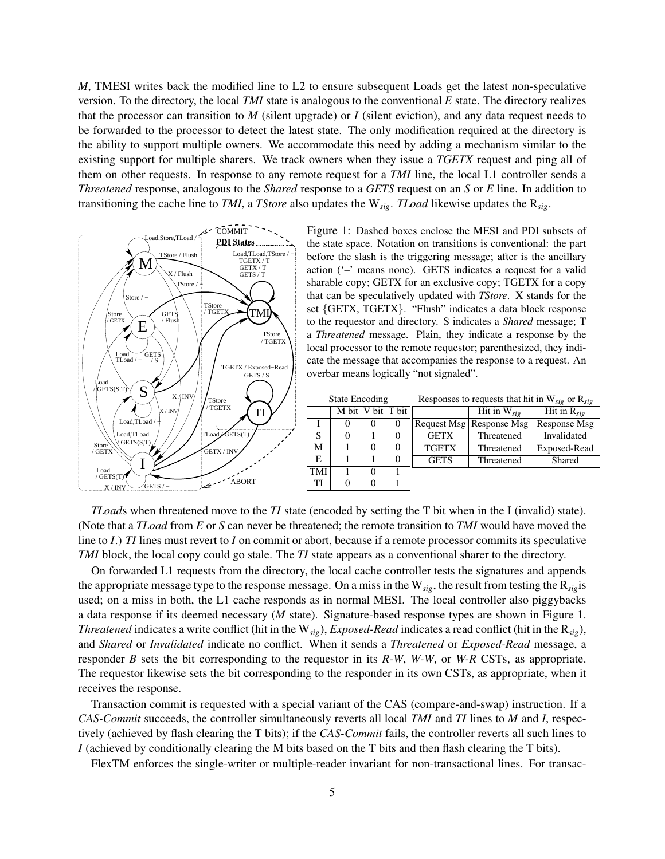*M*, TMESI writes back the modified line to L2 to ensure subsequent Loads get the latest non-speculative version. To the directory, the local *TMI* state is analogous to the conventional *E* state. The directory realizes that the processor can transition to *M* (silent upgrade) or *I* (silent eviction), and any data request needs to be forwarded to the processor to detect the latest state. The only modification required at the directory is the ability to support multiple owners. We accommodate this need by adding a mechanism similar to the existing support for multiple sharers. We track owners when they issue a *TGETX* request and ping all of them on other requests. In response to any remote request for a *TMI* line, the local L1 controller sends a *Threatened* response, analogous to the *Shared* response to a *GETS* request on an *S* or *E* line. In addition to transitioning the cache line to *TMI*, a *TStore* also updates the W*sig*. *TLoad* likewise updates the R*sig*.



Figure 1: Dashed boxes enclose the MESI and PDI subsets of the state space. Notation on transitions is conventional: the part before the slash is the triggering message; after is the ancillary action ('–' means none). GETS indicates a request for a valid sharable copy; GETX for an exclusive copy; TGETX for a copy that can be speculatively updated with *TStore*. X stands for the set {GETX, TGETX}. "Flush" indicates a data block response to the requestor and directory. S indicates a *Shared* message; T a *Threatened* message. Plain, they indicate a response by the local processor to the remote requestor; parenthesized, they indicate the message that accompanies the response to a request. An overbar means logically "not signaled".

State Encoding Responses to requests that hit in W*sig* or R*sig*

|     | M bit $ V \text{ bit} $ T bit $ $ |          |          |              | Hit in $W_{sig}$           | Hit in $R_{sig}$ |
|-----|-----------------------------------|----------|----------|--------------|----------------------------|------------------|
|     |                                   | $\theta$ |          |              | Request Msg   Response Msg | Response Msg     |
| S   |                                   |          | 0        | <b>GETX</b>  | Threatened                 | Invalidated      |
| М   |                                   |          | $\theta$ | <b>TGETX</b> | Threatened                 | Exposed-Read     |
| E   |                                   |          | 0        | <b>GETS</b>  | Threatened                 | Shared           |
| TMI |                                   | $\theta$ |          |              |                            |                  |
| TI  |                                   | 0        |          |              |                            |                  |

*TLoad*s when threatened move to the *TI* state (encoded by setting the T bit when in the I (invalid) state). (Note that a *TLoad* from *E* or *S* can never be threatened; the remote transition to *TMI* would have moved the line to *I*.) *TI* lines must revert to *I* on commit or abort, because if a remote processor commits its speculative *TMI* block, the local copy could go stale. The *TI* state appears as a conventional sharer to the directory.

On forwarded L1 requests from the directory, the local cache controller tests the signatures and appends the appropriate message type to the response message. On a miss in the W*sig*, the result from testing the R*sig*is used; on a miss in both, the L1 cache responds as in normal MESI. The local controller also piggybacks a data response if its deemed necessary (*M* state). Signature-based response types are shown in Figure 1. *Threatened* indicates a write conflict (hit in the W*sig*), *Exposed-Read* indicates a read conflict (hit in the R*sig*), and *Shared* or *Invalidated* indicate no conflict. When it sends a *Threatened* or *Exposed-Read* message, a responder *B* sets the bit corresponding to the requestor in its *R-W*, *W-W*, or *W-R* CSTs, as appropriate. The requestor likewise sets the bit corresponding to the responder in its own CSTs, as appropriate, when it receives the response.

Transaction commit is requested with a special variant of the CAS (compare-and-swap) instruction. If a *CAS-Commit* succeeds, the controller simultaneously reverts all local *TMI* and *TI* lines to *M* and *I*, respectively (achieved by flash clearing the T bits); if the *CAS-Commit* fails, the controller reverts all such lines to *I* (achieved by conditionally clearing the M bits based on the T bits and then flash clearing the T bits).

FlexTM enforces the single-writer or multiple-reader invariant for non-transactional lines. For transac-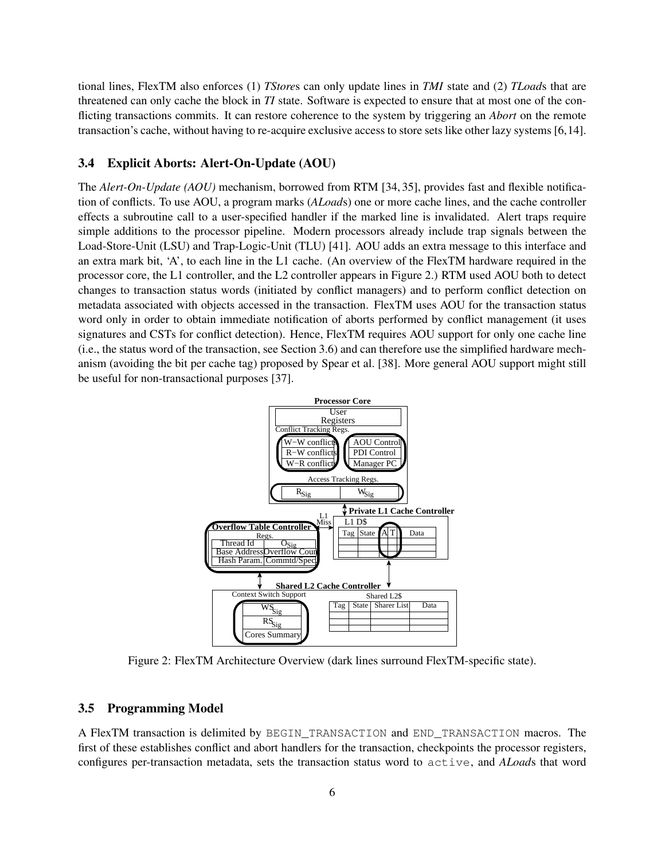tional lines, FlexTM also enforces (1) *TStore*s can only update lines in *TMI* state and (2) *TLoad*s that are threatened can only cache the block in *TI* state. Software is expected to ensure that at most one of the conflicting transactions commits. It can restore coherence to the system by triggering an *Abort* on the remote transaction's cache, without having to re-acquire exclusive access to store sets like other lazy systems [6,14].

#### 3.4 Explicit Aborts: Alert-On-Update (AOU)

The *Alert-On-Update (AOU)* mechanism, borrowed from RTM [34, 35], provides fast and flexible notification of conflicts. To use AOU, a program marks (*ALoad*s) one or more cache lines, and the cache controller effects a subroutine call to a user-specified handler if the marked line is invalidated. Alert traps require simple additions to the processor pipeline. Modern processors already include trap signals between the Load-Store-Unit (LSU) and Trap-Logic-Unit (TLU) [41]. AOU adds an extra message to this interface and an extra mark bit, 'A', to each line in the L1 cache. (An overview of the FlexTM hardware required in the processor core, the L1 controller, and the L2 controller appears in Figure 2.) RTM used AOU both to detect changes to transaction status words (initiated by conflict managers) and to perform conflict detection on metadata associated with objects accessed in the transaction. FlexTM uses AOU for the transaction status word only in order to obtain immediate notification of aborts performed by conflict management (it uses signatures and CSTs for conflict detection). Hence, FlexTM requires AOU support for only one cache line (i.e., the status word of the transaction, see Section 3.6) and can therefore use the simplified hardware mechanism (avoiding the bit per cache tag) proposed by Spear et al. [38]. More general AOU support might still be useful for non-transactional purposes [37].



Figure 2: FlexTM Architecture Overview (dark lines surround FlexTM-specific state).

#### 3.5 Programming Model

A FlexTM transaction is delimited by BEGIN\_TRANSACTION and END\_TRANSACTION macros. The first of these establishes conflict and abort handlers for the transaction, checkpoints the processor registers, configures per-transaction metadata, sets the transaction status word to active, and *ALoad*s that word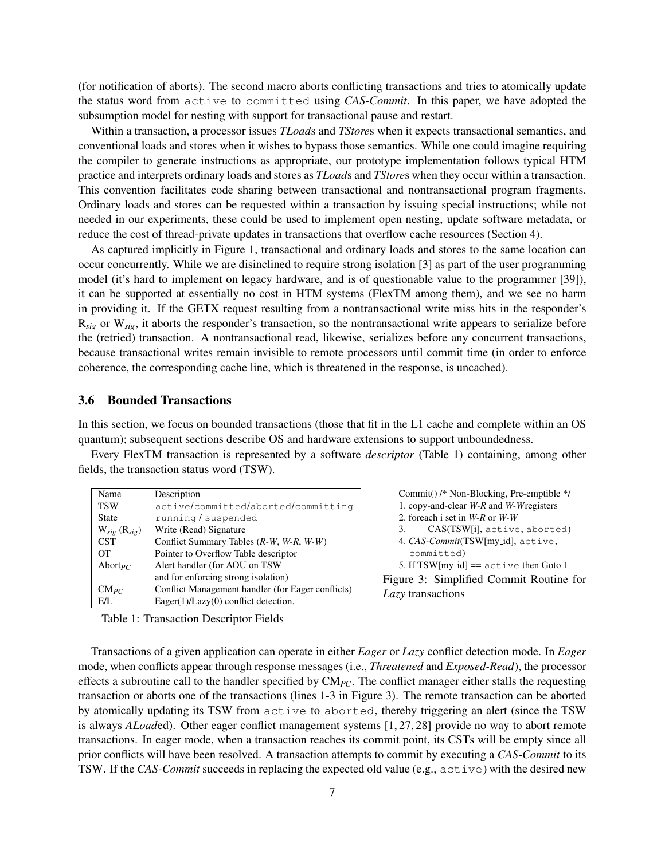(for notification of aborts). The second macro aborts conflicting transactions and tries to atomically update the status word from active to committed using *CAS-Commit*. In this paper, we have adopted the subsumption model for nesting with support for transactional pause and restart.

Within a transaction, a processor issues *TLoad*s and *TStore*s when it expects transactional semantics, and conventional loads and stores when it wishes to bypass those semantics. While one could imagine requiring the compiler to generate instructions as appropriate, our prototype implementation follows typical HTM practice and interprets ordinary loads and stores as *TLoad*s and *TStore*s when they occur within a transaction. This convention facilitates code sharing between transactional and nontransactional program fragments. Ordinary loads and stores can be requested within a transaction by issuing special instructions; while not needed in our experiments, these could be used to implement open nesting, update software metadata, or reduce the cost of thread-private updates in transactions that overflow cache resources (Section 4).

As captured implicitly in Figure 1, transactional and ordinary loads and stores to the same location can occur concurrently. While we are disinclined to require strong isolation [3] as part of the user programming model (it's hard to implement on legacy hardware, and is of questionable value to the programmer [39]), it can be supported at essentially no cost in HTM systems (FlexTM among them), and we see no harm in providing it. If the GETX request resulting from a nontransactional write miss hits in the responder's R<sub>sig</sub> or W<sub>sig</sub>, it aborts the responder's transaction, so the nontransactional write appears to serialize before the (retried) transaction. A nontransactional read, likewise, serializes before any concurrent transactions, because transactional writes remain invisible to remote processors until commit time (in order to enforce coherence, the corresponding cache line, which is threatened in the response, is uncached).

### 3.6 Bounded Transactions

In this section, we focus on bounded transactions (those that fit in the L1 cache and complete within an OS quantum); subsequent sections describe OS and hardware extensions to support unboundedness.

Every FlexTM transaction is represented by a software *descriptor* (Table 1) containing, among other fields, the transaction status word (TSW).

| Name                | Description                                       |
|---------------------|---------------------------------------------------|
| <b>TSW</b>          | active/committed/aborted/committing               |
| State               | running / suspended                               |
| $W_{sig} (R_{sig})$ | Write (Read) Signature                            |
| <b>CST</b>          | Conflict Summary Tables $(R-W, W-R, W-W)$         |
| OТ                  | Pointer to Overflow Table descriptor              |
| Abort <sub>PC</sub> | Alert handler (for AOU on TSW                     |
|                     | and for enforcing strong isolation)               |
| $CM_{PC}$           | Conflict Management handler (for Eager conflicts) |
| EЛ.                 | $Eager(1)/Lazy(0)$ conflict detection.            |

Commit() /\* Non-Blocking, Pre-emptible \*/ 1. copy-and-clear *W-R* and *W-W*registers 2. foreach i set in *W-R* or *W-W* 3. CAS(TSW[i], active, aborted) 4. *CAS-Commit*(TSW[my id], active,

committed)

5. If  $TSW[my_id] == active then Goto 1$ 

Figure 3: Simplified Commit Routine for *Lazy* transactions

Table 1: Transaction Descriptor Fields

Transactions of a given application can operate in either *Eager* or *Lazy* conflict detection mode. In *Eager* mode, when conflicts appear through response messages (i.e., *Threatened* and *Exposed-Read*), the processor effects a subroutine call to the handler specified by CM*PC*. The conflict manager either stalls the requesting transaction or aborts one of the transactions (lines 1-3 in Figure 3). The remote transaction can be aborted by atomically updating its TSW from active to aborted, thereby triggering an alert (since the TSW is always *ALoad*ed). Other eager conflict management systems [1, 27, 28] provide no way to abort remote transactions. In eager mode, when a transaction reaches its commit point, its CSTs will be empty since all prior conflicts will have been resolved. A transaction attempts to commit by executing a *CAS-Commit* to its TSW. If the *CAS-Commit* succeeds in replacing the expected old value (e.g., active) with the desired new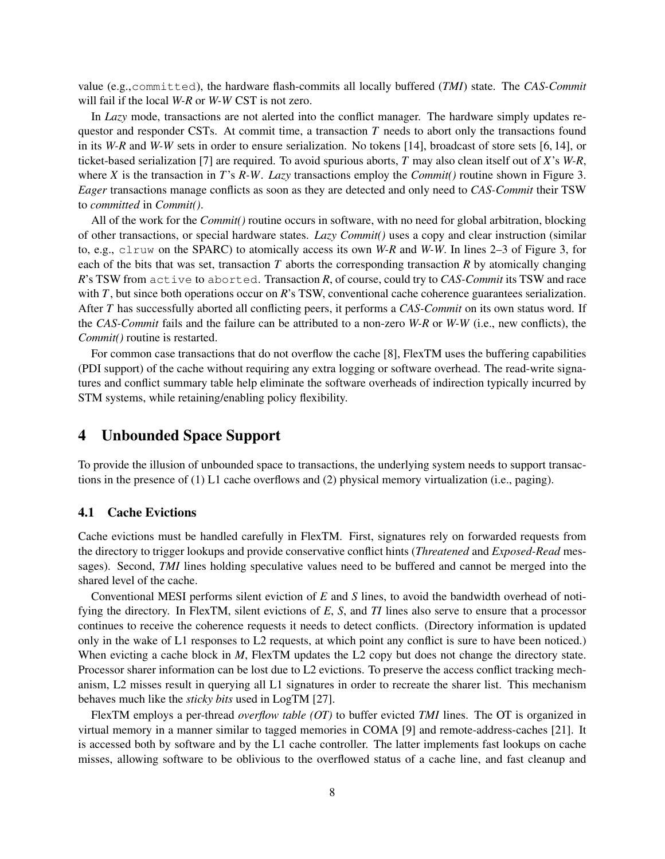value (e.g.,committed), the hardware flash-commits all locally buffered (*TMI*) state. The *CAS-Commit* will fail if the local *W-R* or *W-W* CST is not zero.

In *Lazy* mode, transactions are not alerted into the conflict manager. The hardware simply updates requestor and responder CSTs. At commit time, a transaction *T* needs to abort only the transactions found in its *W-R* and *W-W* sets in order to ensure serialization. No tokens [14], broadcast of store sets [6, 14], or ticket-based serialization [7] are required. To avoid spurious aborts, *T* may also clean itself out of *X*'s *W-R*, where *X* is the transaction in *T*'s *R-W*. *Lazy* transactions employ the *Commit()* routine shown in Figure 3. *Eager* transactions manage conflicts as soon as they are detected and only need to *CAS-Commit* their TSW to *committed* in *Commit()*.

All of the work for the *Commit()* routine occurs in software, with no need for global arbitration, blocking of other transactions, or special hardware states. *Lazy Commit()* uses a copy and clear instruction (similar to, e.g., clruw on the SPARC) to atomically access its own *W-R* and *W-W*. In lines 2–3 of Figure 3, for each of the bits that was set, transaction *T* aborts the corresponding transaction *R* by atomically changing *R*'s TSW from active to aborted. Transaction *R*, of course, could try to *CAS-Commit* its TSW and race with *T*, but since both operations occur on *R*'s TSW, conventional cache coherence guarantees serialization. After *T* has successfully aborted all conflicting peers, it performs a *CAS-Commit* on its own status word. If the *CAS-Commit* fails and the failure can be attributed to a non-zero *W-R* or *W-W* (i.e., new conflicts), the *Commit()* routine is restarted.

For common case transactions that do not overflow the cache [8], FlexTM uses the buffering capabilities (PDI support) of the cache without requiring any extra logging or software overhead. The read-write signatures and conflict summary table help eliminate the software overheads of indirection typically incurred by STM systems, while retaining/enabling policy flexibility.

## 4 Unbounded Space Support

To provide the illusion of unbounded space to transactions, the underlying system needs to support transactions in the presence of (1) L1 cache overflows and (2) physical memory virtualization (i.e., paging).

#### 4.1 Cache Evictions

Cache evictions must be handled carefully in FlexTM. First, signatures rely on forwarded requests from the directory to trigger lookups and provide conservative conflict hints (*Threatened* and *Exposed-Read* messages). Second, *TMI* lines holding speculative values need to be buffered and cannot be merged into the shared level of the cache.

Conventional MESI performs silent eviction of *E* and *S* lines, to avoid the bandwidth overhead of notifying the directory. In FlexTM, silent evictions of *E*, *S*, and *TI* lines also serve to ensure that a processor continues to receive the coherence requests it needs to detect conflicts. (Directory information is updated only in the wake of L1 responses to L2 requests, at which point any conflict is sure to have been noticed.) When evicting a cache block in *M*, FlexTM updates the L2 copy but does not change the directory state. Processor sharer information can be lost due to L2 evictions. To preserve the access conflict tracking mechanism, L2 misses result in querying all L1 signatures in order to recreate the sharer list. This mechanism behaves much like the *sticky bits* used in LogTM [27].

FlexTM employs a per-thread *overflow table (OT)* to buffer evicted *TMI* lines. The OT is organized in virtual memory in a manner similar to tagged memories in COMA [9] and remote-address-caches [21]. It is accessed both by software and by the L1 cache controller. The latter implements fast lookups on cache misses, allowing software to be oblivious to the overflowed status of a cache line, and fast cleanup and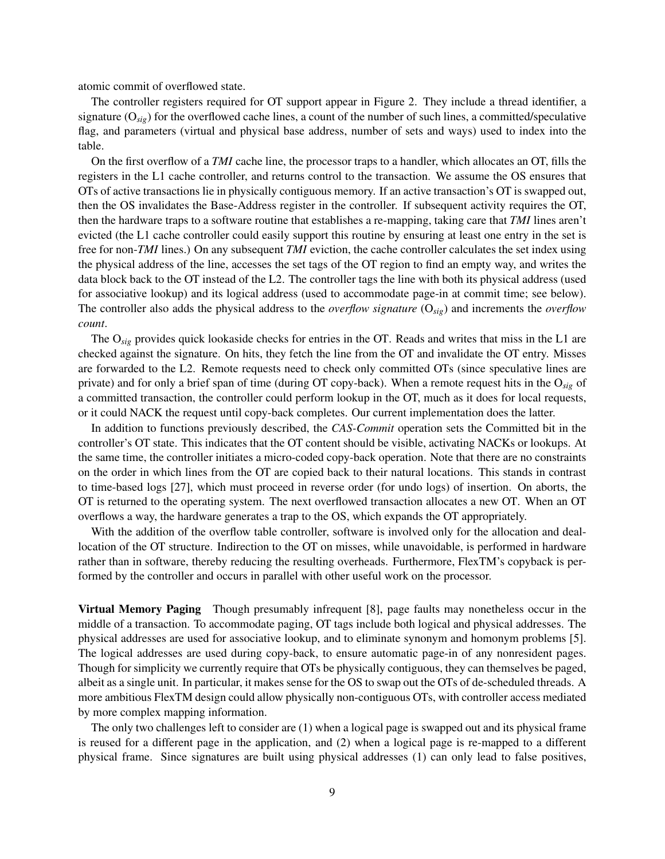atomic commit of overflowed state.

The controller registers required for OT support appear in Figure 2. They include a thread identifier, a signature (O*sig*) for the overflowed cache lines, a count of the number of such lines, a committed/speculative flag, and parameters (virtual and physical base address, number of sets and ways) used to index into the table.

On the first overflow of a *TMI* cache line, the processor traps to a handler, which allocates an OT, fills the registers in the L1 cache controller, and returns control to the transaction. We assume the OS ensures that OTs of active transactions lie in physically contiguous memory. If an active transaction's OT is swapped out, then the OS invalidates the Base-Address register in the controller. If subsequent activity requires the OT, then the hardware traps to a software routine that establishes a re-mapping, taking care that *TMI* lines aren't evicted (the L1 cache controller could easily support this routine by ensuring at least one entry in the set is free for non-*TMI* lines.) On any subsequent *TMI* eviction, the cache controller calculates the set index using the physical address of the line, accesses the set tags of the OT region to find an empty way, and writes the data block back to the OT instead of the L2. The controller tags the line with both its physical address (used for associative lookup) and its logical address (used to accommodate page-in at commit time; see below). The controller also adds the physical address to the *overflow signature* (O*sig*) and increments the *overflow count*.

The O*sig* provides quick lookaside checks for entries in the OT. Reads and writes that miss in the L1 are checked against the signature. On hits, they fetch the line from the OT and invalidate the OT entry. Misses are forwarded to the L2. Remote requests need to check only committed OTs (since speculative lines are private) and for only a brief span of time (during OT copy-back). When a remote request hits in the O*sig* of a committed transaction, the controller could perform lookup in the OT, much as it does for local requests, or it could NACK the request until copy-back completes. Our current implementation does the latter.

In addition to functions previously described, the *CAS-Commit* operation sets the Committed bit in the controller's OT state. This indicates that the OT content should be visible, activating NACKs or lookups. At the same time, the controller initiates a micro-coded copy-back operation. Note that there are no constraints on the order in which lines from the OT are copied back to their natural locations. This stands in contrast to time-based logs [27], which must proceed in reverse order (for undo logs) of insertion. On aborts, the OT is returned to the operating system. The next overflowed transaction allocates a new OT. When an OT overflows a way, the hardware generates a trap to the OS, which expands the OT appropriately.

With the addition of the overflow table controller, software is involved only for the allocation and deallocation of the OT structure. Indirection to the OT on misses, while unavoidable, is performed in hardware rather than in software, thereby reducing the resulting overheads. Furthermore, FlexTM's copyback is performed by the controller and occurs in parallel with other useful work on the processor.

Virtual Memory Paging Though presumably infrequent [8], page faults may nonetheless occur in the middle of a transaction. To accommodate paging, OT tags include both logical and physical addresses. The physical addresses are used for associative lookup, and to eliminate synonym and homonym problems [5]. The logical addresses are used during copy-back, to ensure automatic page-in of any nonresident pages. Though for simplicity we currently require that OTs be physically contiguous, they can themselves be paged, albeit as a single unit. In particular, it makes sense for the OS to swap out the OTs of de-scheduled threads. A more ambitious FlexTM design could allow physically non-contiguous OTs, with controller access mediated by more complex mapping information.

The only two challenges left to consider are (1) when a logical page is swapped out and its physical frame is reused for a different page in the application, and (2) when a logical page is re-mapped to a different physical frame. Since signatures are built using physical addresses (1) can only lead to false positives,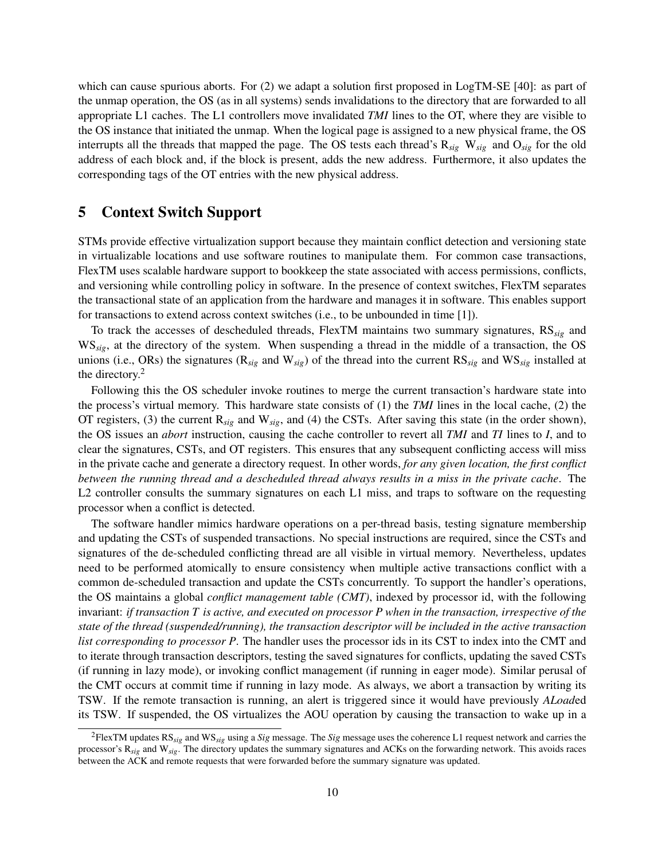which can cause spurious aborts. For (2) we adapt a solution first proposed in LogTM-SE [40]: as part of the unmap operation, the OS (as in all systems) sends invalidations to the directory that are forwarded to all appropriate L1 caches. The L1 controllers move invalidated *TMI* lines to the OT, where they are visible to the OS instance that initiated the unmap. When the logical page is assigned to a new physical frame, the OS interrupts all the threads that mapped the page. The OS tests each thread's R*sig* W*sig* and O*sig* for the old address of each block and, if the block is present, adds the new address. Furthermore, it also updates the corresponding tags of the OT entries with the new physical address.

## 5 Context Switch Support

STMs provide effective virtualization support because they maintain conflict detection and versioning state in virtualizable locations and use software routines to manipulate them. For common case transactions, FlexTM uses scalable hardware support to bookkeep the state associated with access permissions, conflicts, and versioning while controlling policy in software. In the presence of context switches, FlexTM separates the transactional state of an application from the hardware and manages it in software. This enables support for transactions to extend across context switches (i.e., to be unbounded in time [1]).

To track the accesses of descheduled threads, FlexTM maintains two summary signatures, RS*sig* and WS*sig*, at the directory of the system. When suspending a thread in the middle of a transaction, the OS unions (i.e., ORs) the signatures (R*sig* and W*sig*) of the thread into the current RS*sig* and WS*sig* installed at the directory.<sup>2</sup>

Following this the OS scheduler invoke routines to merge the current transaction's hardware state into the process's virtual memory. This hardware state consists of (1) the *TMI* lines in the local cache, (2) the OT registers, (3) the current R*sig* and W*sig*, and (4) the CSTs. After saving this state (in the order shown), the OS issues an *abort* instruction, causing the cache controller to revert all *TMI* and *TI* lines to *I*, and to clear the signatures, CSTs, and OT registers. This ensures that any subsequent conflicting access will miss in the private cache and generate a directory request. In other words, *for any given location, the first conflict between the running thread and a descheduled thread always results in a miss in the private cache*. The L2 controller consults the summary signatures on each L1 miss, and traps to software on the requesting processor when a conflict is detected.

The software handler mimics hardware operations on a per-thread basis, testing signature membership and updating the CSTs of suspended transactions. No special instructions are required, since the CSTs and signatures of the de-scheduled conflicting thread are all visible in virtual memory. Nevertheless, updates need to be performed atomically to ensure consistency when multiple active transactions conflict with a common de-scheduled transaction and update the CSTs concurrently. To support the handler's operations, the OS maintains a global *conflict management table (CMT)*, indexed by processor id, with the following invariant: *if transaction T is active, and executed on processor P when in the transaction, irrespective of the state of the thread (suspended/running), the transaction descriptor will be included in the active transaction list corresponding to processor P*. The handler uses the processor ids in its CST to index into the CMT and to iterate through transaction descriptors, testing the saved signatures for conflicts, updating the saved CSTs (if running in lazy mode), or invoking conflict management (if running in eager mode). Similar perusal of the CMT occurs at commit time if running in lazy mode. As always, we abort a transaction by writing its TSW. If the remote transaction is running, an alert is triggered since it would have previously *ALoad*ed its TSW. If suspended, the OS virtualizes the AOU operation by causing the transaction to wake up in a

<sup>2</sup>FlexTM updates RS*sig* and WS*sig* using a *Sig* message. The *Sig* message uses the coherence L1 request network and carries the processor's R*sig* and W*sig*. The directory updates the summary signatures and ACKs on the forwarding network. This avoids races between the ACK and remote requests that were forwarded before the summary signature was updated.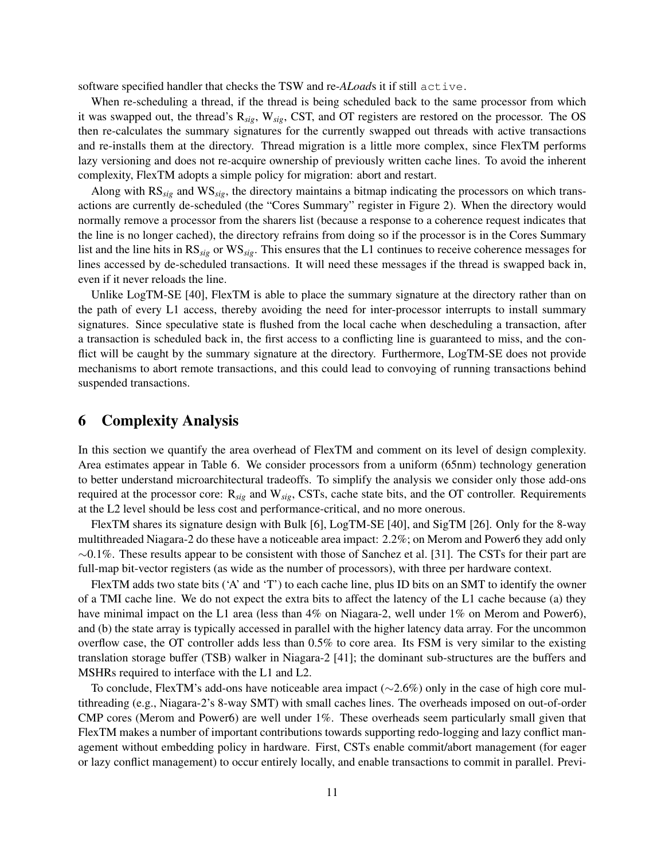software specified handler that checks the TSW and re-*ALoad*s it if still active.

When re-scheduling a thread, if the thread is being scheduled back to the same processor from which it was swapped out, the thread's R*sig*, W*sig*, CST, and OT registers are restored on the processor. The OS then re-calculates the summary signatures for the currently swapped out threads with active transactions and re-installs them at the directory. Thread migration is a little more complex, since FlexTM performs lazy versioning and does not re-acquire ownership of previously written cache lines. To avoid the inherent complexity, FlexTM adopts a simple policy for migration: abort and restart.

Along with RS*sig* and WS*sig*, the directory maintains a bitmap indicating the processors on which transactions are currently de-scheduled (the "Cores Summary" register in Figure 2). When the directory would normally remove a processor from the sharers list (because a response to a coherence request indicates that the line is no longer cached), the directory refrains from doing so if the processor is in the Cores Summary list and the line hits in RS*sig* or WS*sig*. This ensures that the L1 continues to receive coherence messages for lines accessed by de-scheduled transactions. It will need these messages if the thread is swapped back in, even if it never reloads the line.

Unlike LogTM-SE [40], FlexTM is able to place the summary signature at the directory rather than on the path of every L1 access, thereby avoiding the need for inter-processor interrupts to install summary signatures. Since speculative state is flushed from the local cache when descheduling a transaction, after a transaction is scheduled back in, the first access to a conflicting line is guaranteed to miss, and the conflict will be caught by the summary signature at the directory. Furthermore, LogTM-SE does not provide mechanisms to abort remote transactions, and this could lead to convoying of running transactions behind suspended transactions.

## 6 Complexity Analysis

In this section we quantify the area overhead of FlexTM and comment on its level of design complexity. Area estimates appear in Table 6. We consider processors from a uniform (65nm) technology generation to better understand microarchitectural tradeoffs. To simplify the analysis we consider only those add-ons required at the processor core: R*sig* and W*sig*, CSTs, cache state bits, and the OT controller. Requirements at the L2 level should be less cost and performance-critical, and no more onerous.

FlexTM shares its signature design with Bulk [6], LogTM-SE [40], and SigTM [26]. Only for the 8-way multithreaded Niagara-2 do these have a noticeable area impact: 2.2%; on Merom and Power6 they add only  $\sim$ 0.1%. These results appear to be consistent with those of Sanchez et al. [31]. The CSTs for their part are full-map bit-vector registers (as wide as the number of processors), with three per hardware context.

FlexTM adds two state bits ('A' and 'T') to each cache line, plus ID bits on an SMT to identify the owner of a TMI cache line. We do not expect the extra bits to affect the latency of the L1 cache because (a) they have minimal impact on the L1 area (less than 4% on Niagara-2, well under 1% on Merom and Power6), and (b) the state array is typically accessed in parallel with the higher latency data array. For the uncommon overflow case, the OT controller adds less than 0.5% to core area. Its FSM is very similar to the existing translation storage buffer (TSB) walker in Niagara-2 [41]; the dominant sub-structures are the buffers and MSHRs required to interface with the L1 and L2.

To conclude, FlexTM's add-ons have noticeable area impact (∼2.6%) only in the case of high core multithreading (e.g., Niagara-2's 8-way SMT) with small caches lines. The overheads imposed on out-of-order CMP cores (Merom and Power6) are well under 1%. These overheads seem particularly small given that FlexTM makes a number of important contributions towards supporting redo-logging and lazy conflict management without embedding policy in hardware. First, CSTs enable commit/abort management (for eager or lazy conflict management) to occur entirely locally, and enable transactions to commit in parallel. Previ-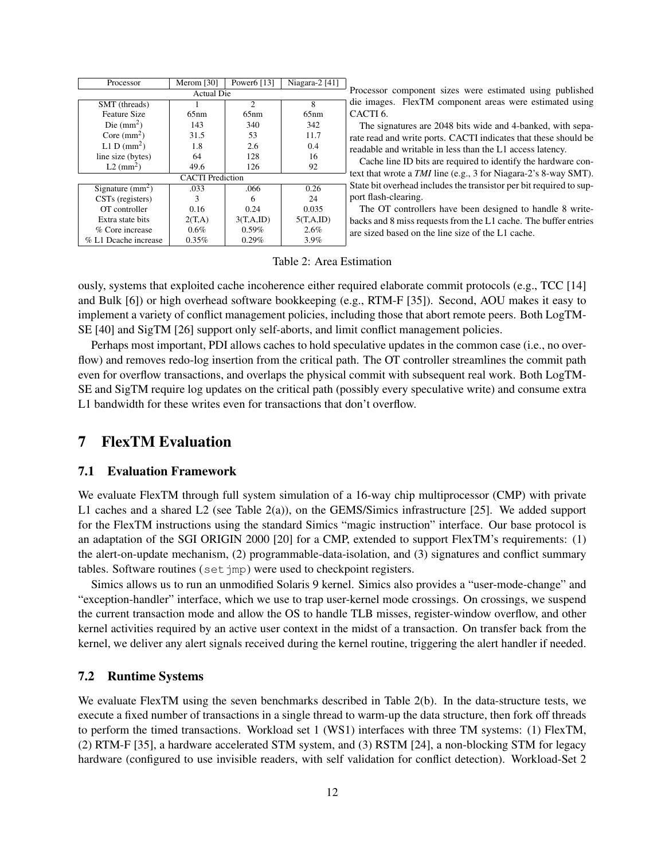| Processor               | Merom [30] | Power6 [13]    | Niagara-2 $[41]$ |  |
|-------------------------|------------|----------------|------------------|--|
| <b>Actual Die</b>       |            |                |                  |  |
| SMT (threads)           |            | $\mathfrak{D}$ | 8                |  |
| <b>Feature Size</b>     | 65nm       | 65nm           | 65nm             |  |
| Die $(mm2)$             | 143        | 340            | 342              |  |
| Core $(mm2)$            | 31.5       | 53             | 11.7             |  |
| L1 D $(mm^2)$           | 1.8        | 2.6            | 0.4              |  |
| line size (bytes)       | 64         | 128            | 16               |  |
| $L2$ (mm <sup>2</sup> ) | 49.6       | 126            | 92               |  |
| <b>CACTI</b> Prediction |            |                |                  |  |
| Signature $(mm2)$       | .033       | .066           | 0.26             |  |
| CSTs (registers)        | 3          | 6              | 24               |  |
| OT controller           | 0.16       | 0.24           | 0.035            |  |
| Extra state bits        | 2(T,A)     | 3(T,A,ID)      | 5(T.A.ID)        |  |
| % Core increase         | 0.6%       | 0.59%          | 2.6%             |  |
| % L1 Dcache increase    | 0.35%      | 0.29%          | 3.9%             |  |

Processor component sizes were estimated using published die images. FlexTM component areas were estimated using CACTI 6.

The signatures are 2048 bits wide and 4-banked, with separate read and write ports. CACTI indicates that these should be readable and writable in less than the L1 access latency.

Cache line ID bits are required to identify the hardware context that wrote a *TMI* line (e.g., 3 for Niagara-2's 8-way SMT). State bit overhead includes the transistor per bit required to support flash-clearing.

The OT controllers have been designed to handle 8 writebacks and 8 miss requests from the L1 cache. The buffer entries are sized based on the line size of the L1 cache.

Table 2: Area Estimation

ously, systems that exploited cache incoherence either required elaborate commit protocols (e.g., TCC [14] and Bulk [6]) or high overhead software bookkeeping (e.g., RTM-F [35]). Second, AOU makes it easy to implement a variety of conflict management policies, including those that abort remote peers. Both LogTM-SE [40] and SigTM [26] support only self-aborts, and limit conflict management policies.

Perhaps most important, PDI allows caches to hold speculative updates in the common case (i.e., no overflow) and removes redo-log insertion from the critical path. The OT controller streamlines the commit path even for overflow transactions, and overlaps the physical commit with subsequent real work. Both LogTM-SE and SigTM require log updates on the critical path (possibly every speculative write) and consume extra L1 bandwidth for these writes even for transactions that don't overflow.

## 7 FlexTM Evaluation

### 7.1 Evaluation Framework

We evaluate FlexTM through full system simulation of a 16-way chip multiprocessor (CMP) with private L1 caches and a shared L2 (see Table 2(a)), on the GEMS/Simics infrastructure [25]. We added support for the FlexTM instructions using the standard Simics "magic instruction" interface. Our base protocol is an adaptation of the SGI ORIGIN 2000 [20] for a CMP, extended to support FlexTM's requirements: (1) the alert-on-update mechanism, (2) programmable-data-isolation, and (3) signatures and conflict summary tables. Software routines (set jmp) were used to checkpoint registers.

Simics allows us to run an unmodified Solaris 9 kernel. Simics also provides a "user-mode-change" and "exception-handler" interface, which we use to trap user-kernel mode crossings. On crossings, we suspend the current transaction mode and allow the OS to handle TLB misses, register-window overflow, and other kernel activities required by an active user context in the midst of a transaction. On transfer back from the kernel, we deliver any alert signals received during the kernel routine, triggering the alert handler if needed.

## 7.2 Runtime Systems

We evaluate FlexTM using the seven benchmarks described in Table 2(b). In the data-structure tests, we execute a fixed number of transactions in a single thread to warm-up the data structure, then fork off threads to perform the timed transactions. Workload set 1 (WS1) interfaces with three TM systems: (1) FlexTM, (2) RTM-F [35], a hardware accelerated STM system, and (3) RSTM [24], a non-blocking STM for legacy hardware (configured to use invisible readers, with self validation for conflict detection). Workload-Set 2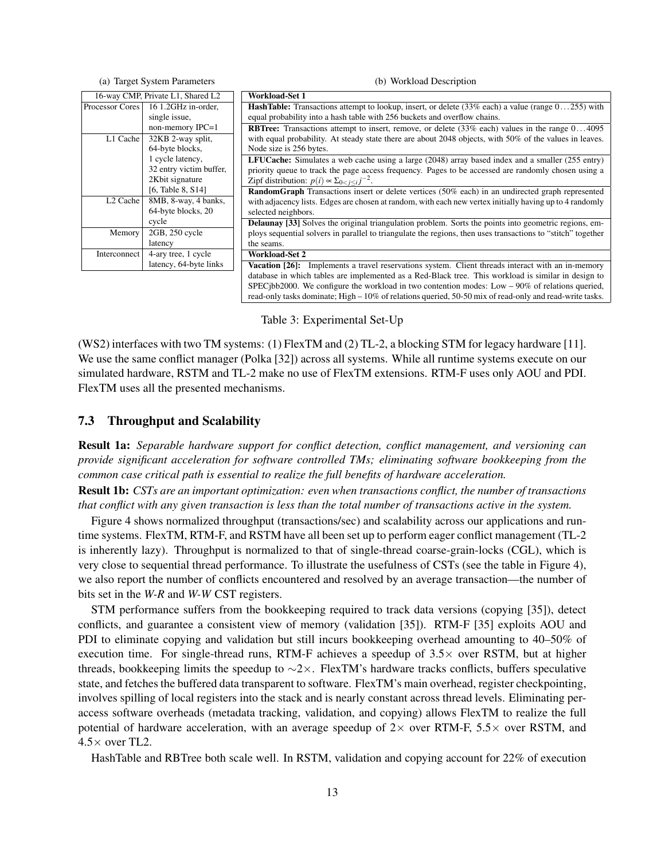| (a) Target System Parameters      |                         | (b) Workload Description                                                                                               |
|-----------------------------------|-------------------------|------------------------------------------------------------------------------------------------------------------------|
| 16-way CMP, Private L1, Shared L2 |                         | <b>Workload-Set 1</b>                                                                                                  |
| Processor Cores                   | 16 1.2GHz in-order.     | <b>HashTable:</b> Transactions attempt to lookup, insert, or delete $(33\% \text{ each})$ a value (range $0255$ ) with |
|                                   | single issue,           | equal probability into a hash table with 256 buckets and overflow chains.                                              |
|                                   | non-memory IPC=1        | <b>RBTree:</b> Transactions attempt to insert, remove, or delete $(33\% \text{ each})$ values in the range $04095$     |
| L1 Cache                          | 32KB 2-way split,       | with equal probability. At steady state there are about 2048 objects, with 50% of the values in leaves.                |
|                                   | 64-byte blocks,         | Node size is 256 bytes.                                                                                                |
|                                   | 1 cycle latency,        | LFUCache: Simulates a web cache using a large (2048) array based index and a smaller (255 entry)                       |
|                                   | 32 entry victim buffer, | priority queue to track the page access frequency. Pages to be accessed are randomly chosen using a                    |
|                                   | 2Kbit signature         | Zipf distribution: $p(i) \propto \sum_{0 \le i \le i} j^{-2}$ .                                                        |
|                                   | [6, Table 8, $S14$ ]    | <b>RandomGraph</b> Transactions insert or delete vertices (50% each) in an undirected graph represented                |
| $L2$ Cache                        | 8MB, 8-way, 4 banks,    | with adjacency lists. Edges are chosen at random, with each new vertex initially having up to 4 randomly               |
|                                   | 64-byte blocks, 20      | selected neighbors.                                                                                                    |
|                                   | cycle                   | <b>Delaunay</b> [33] Solves the original triangulation problem. Sorts the points into geometric regions, em-           |
| Memory                            | 2GB, 250 cycle          | ploys sequential solvers in parallel to triangulate the regions, then uses transactions to "stitch" together           |
|                                   | latency                 | the seams.                                                                                                             |
| Interconnect                      | 4-ary tree, 1 cycle     | <b>Workload-Set 2</b>                                                                                                  |
|                                   | latency, 64-byte links  | Vacation [26]: Implements a travel reservations system. Client threads interact with an in-memory                      |
|                                   |                         | database in which tables are implemented as a Red-Black tree. This workload is similar in design to                    |
|                                   |                         | SPEC jbb2000. We configure the workload in two contention modes: Low $-90\%$ of relations queried,                     |
|                                   |                         | read-only tasks dominate; High - 10% of relations queried, 50-50 mix of read-only and read-write tasks.                |

Table 3: Experimental Set-Up

(WS2) interfaces with two TM systems: (1) FlexTM and (2) TL-2, a blocking STM for legacy hardware [11]. We use the same conflict manager (Polka [32]) across all systems. While all runtime systems execute on our simulated hardware, RSTM and TL-2 make no use of FlexTM extensions. RTM-F uses only AOU and PDI. FlexTM uses all the presented mechanisms.

#### 7.3 Throughput and Scalability

Result 1a: *Separable hardware support for conflict detection, conflict management, and versioning can provide significant acceleration for software controlled TMs; eliminating software bookkeeping from the common case critical path is essential to realize the full benefits of hardware acceleration.*

Result 1b: *CSTs are an important optimization: even when transactions conflict, the number of transactions that conflict with any given transaction is less than the total number of transactions active in the system.*

Figure 4 shows normalized throughput (transactions/sec) and scalability across our applications and runtime systems. FlexTM, RTM-F, and RSTM have all been set up to perform eager conflict management (TL-2 is inherently lazy). Throughput is normalized to that of single-thread coarse-grain-locks (CGL), which is very close to sequential thread performance. To illustrate the usefulness of CSTs (see the table in Figure 4), we also report the number of conflicts encountered and resolved by an average transaction—the number of bits set in the *W-R* and *W-W* CST registers.

STM performance suffers from the bookkeeping required to track data versions (copying [35]), detect conflicts, and guarantee a consistent view of memory (validation [35]). RTM-F [35] exploits AOU and PDI to eliminate copying and validation but still incurs bookkeeping overhead amounting to 40–50% of execution time. For single-thread runs, RTM-F achieves a speedup of  $3.5\times$  over RSTM, but at higher threads, bookkeeping limits the speedup to ∼2×. FlexTM's hardware tracks conflicts, buffers speculative state, and fetches the buffered data transparent to software. FlexTM's main overhead, register checkpointing, involves spilling of local registers into the stack and is nearly constant across thread levels. Eliminating peraccess software overheads (metadata tracking, validation, and copying) allows FlexTM to realize the full potential of hardware acceleration, with an average speedup of  $2\times$  over RTM-F, 5.5 $\times$  over RSTM, and  $4.5\times$  over TL2.

HashTable and RBTree both scale well. In RSTM, validation and copying account for 22% of execution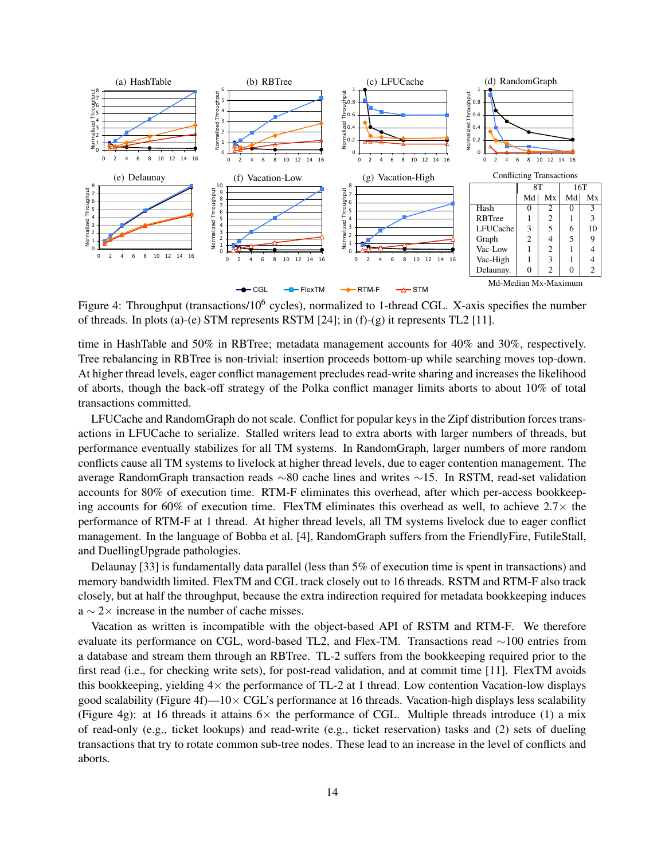

Figure 4: Throughput (transactions/10<sup>6</sup> cycles), normalized to 1-thread CGL. X-axis specifies the number of threads. In plots (a)-(e) STM represents RSTM  $[24]$ ; in (f)-(g) it represents TL2  $[11]$ .

time in HashTable and 50% in RBTree; metadata management accounts for 40% and 30%, respectively. Tree rebalancing in RBTree is non-trivial: insertion proceeds bottom-up while searching moves top-down. At higher thread levels, eager conflict management precludes read-write sharing and increases the likelihood of aborts, though the back-off strategy of the Polka conflict manager limits aborts to about 10% of total transactions committed.

LFUCache and RandomGraph do not scale. Conflict for popular keys in the Zipf distribution forces transactions in LFUCache to serialize. Stalled writers lead to extra aborts with larger numbers of threads, but performance eventually stabilizes for all TM systems. In RandomGraph, larger numbers of more random conflicts cause all TM systems to livelock at higher thread levels, due to eager contention management. The average RandomGraph transaction reads ∼80 cache lines and writes ∼15. In RSTM, read-set validation accounts for 80% of execution time. RTM-F eliminates this overhead, after which per-access bookkeeping accounts for 60% of execution time. FlexTM eliminates this overhead as well, to achieve  $2.7\times$  the performance of RTM-F at 1 thread. At higher thread levels, all TM systems livelock due to eager conflict management. In the language of Bobba et al. [4], RandomGraph suffers from the FriendlyFire, FutileStall, and DuellingUpgrade pathologies.

Delaunay [33] is fundamentally data parallel (less than 5% of execution time is spent in transactions) and memory bandwidth limited. FlexTM and CGL track closely out to 16 threads. RSTM and RTM-F also track closely, but at half the throughput, because the extra indirection required for metadata bookkeeping induces  $a \sim 2 \times$  increase in the number of cache misses.

Vacation as written is incompatible with the object-based API of RSTM and RTM-F. We therefore evaluate its performance on CGL, word-based TL2, and Flex-TM. Transactions read ∼100 entries from a database and stream them through an RBTree. TL-2 suffers from the bookkeeping required prior to the first read (i.e., for checking write sets), for post-read validation, and at commit time [11]. FlexTM avoids this bookkeeping, yielding  $4\times$  the performance of TL-2 at 1 thread. Low contention Vacation-low displays good scalability (Figure 4f)— $10 \times \text{CGL's performance}$  at 16 threads. Vacation-high displays less scalability (Figure 4g): at 16 threads it attains  $6\times$  the performance of CGL. Multiple threads introduce (1) a mix of read-only (e.g., ticket lookups) and read-write (e.g., ticket reservation) tasks and (2) sets of dueling transactions that try to rotate common sub-tree nodes. These lead to an increase in the level of conflicts and aborts.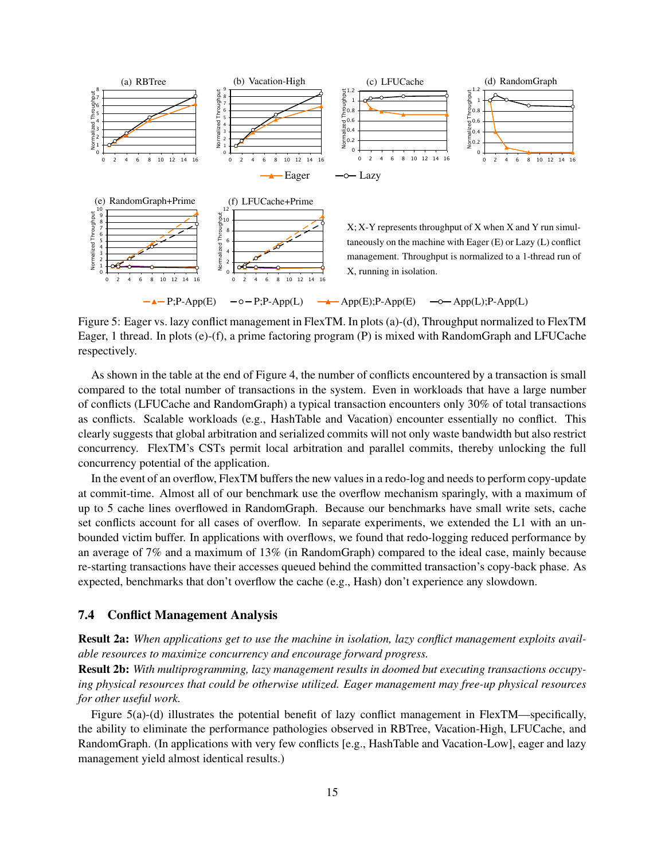

Figure 5: Eager vs. lazy conflict management in FlexTM. In plots (a)-(d), Throughput normalized to FlexTM Eager, 1 thread. In plots (e)-(f), a prime factoring program (P) is mixed with RandomGraph and LFUCache respectively.

As shown in the table at the end of Figure 4, the number of conflicts encountered by a transaction is small compared to the total number of transactions in the system. Even in workloads that have a large number of conflicts (LFUCache and RandomGraph) a typical transaction encounters only 30% of total transactions as conflicts. Scalable workloads (e.g., HashTable and Vacation) encounter essentially no conflict. This clearly suggests that global arbitration and serialized commits will not only waste bandwidth but also restrict concurrency. FlexTM's CSTs permit local arbitration and parallel commits, thereby unlocking the full concurrency potential of the application.

In the event of an overflow, FlexTM buffers the new values in a redo-log and needs to perform copy-update at commit-time. Almost all of our benchmark use the overflow mechanism sparingly, with a maximum of up to 5 cache lines overflowed in RandomGraph. Because our benchmarks have small write sets, cache set conflicts account for all cases of overflow. In separate experiments, we extended the L1 with an unbounded victim buffer. In applications with overflows, we found that redo-logging reduced performance by an average of 7% and a maximum of 13% (in RandomGraph) compared to the ideal case, mainly because re-starting transactions have their accesses queued behind the committed transaction's copy-back phase. As expected, benchmarks that don't overflow the cache (e.g., Hash) don't experience any slowdown.

### 7.4 Conflict Management Analysis

Result 2a: *When applications get to use the machine in isolation, lazy conflict management exploits available resources to maximize concurrency and encourage forward progress.*

Result 2b: *With multiprogramming, lazy management results in doomed but executing transactions occupying physical resources that could be otherwise utilized. Eager management may free-up physical resources for other useful work.*

Figure 5(a)-(d) illustrates the potential benefit of lazy conflict management in FlexTM—specifically, the ability to eliminate the performance pathologies observed in RBTree, Vacation-High, LFUCache, and RandomGraph. (In applications with very few conflicts [e.g., HashTable and Vacation-Low], eager and lazy management yield almost identical results.)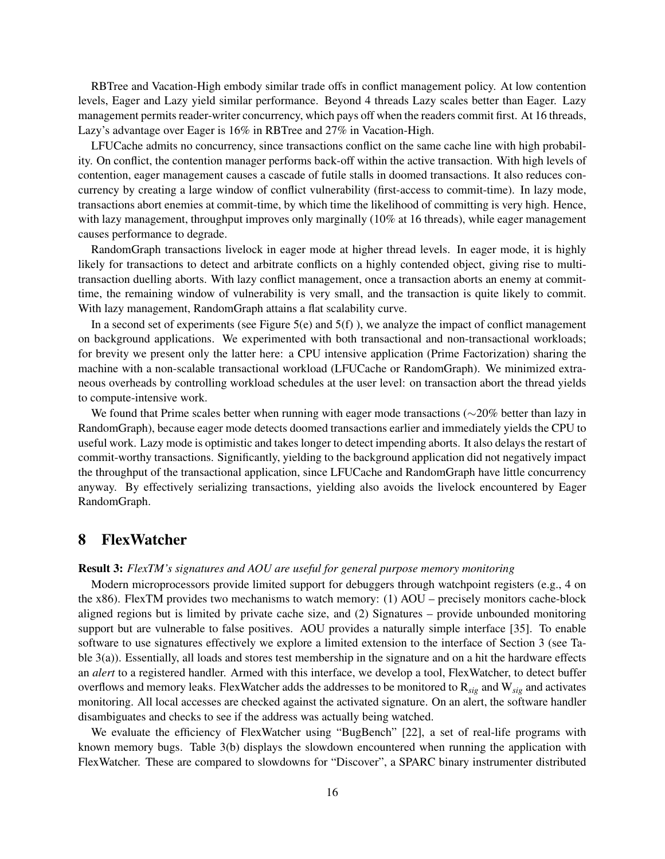RBTree and Vacation-High embody similar trade offs in conflict management policy. At low contention levels, Eager and Lazy yield similar performance. Beyond 4 threads Lazy scales better than Eager. Lazy management permits reader-writer concurrency, which pays off when the readers commit first. At 16 threads, Lazy's advantage over Eager is 16% in RBTree and 27% in Vacation-High.

LFUCache admits no concurrency, since transactions conflict on the same cache line with high probability. On conflict, the contention manager performs back-off within the active transaction. With high levels of contention, eager management causes a cascade of futile stalls in doomed transactions. It also reduces concurrency by creating a large window of conflict vulnerability (first-access to commit-time). In lazy mode, transactions abort enemies at commit-time, by which time the likelihood of committing is very high. Hence, with lazy management, throughput improves only marginally (10% at 16 threads), while eager management causes performance to degrade.

RandomGraph transactions livelock in eager mode at higher thread levels. In eager mode, it is highly likely for transactions to detect and arbitrate conflicts on a highly contended object, giving rise to multitransaction duelling aborts. With lazy conflict management, once a transaction aborts an enemy at committime, the remaining window of vulnerability is very small, and the transaction is quite likely to commit. With lazy management, RandomGraph attains a flat scalability curve.

In a second set of experiments (see Figure 5(e) and  $5(f)$ ), we analyze the impact of conflict management on background applications. We experimented with both transactional and non-transactional workloads; for brevity we present only the latter here: a CPU intensive application (Prime Factorization) sharing the machine with a non-scalable transactional workload (LFUCache or RandomGraph). We minimized extraneous overheads by controlling workload schedules at the user level: on transaction abort the thread yields to compute-intensive work.

We found that Prime scales better when running with eager mode transactions (∼20% better than lazy in RandomGraph), because eager mode detects doomed transactions earlier and immediately yields the CPU to useful work. Lazy mode is optimistic and takes longer to detect impending aborts. It also delays the restart of commit-worthy transactions. Significantly, yielding to the background application did not negatively impact the throughput of the transactional application, since LFUCache and RandomGraph have little concurrency anyway. By effectively serializing transactions, yielding also avoids the livelock encountered by Eager RandomGraph.

## 8 FlexWatcher

#### Result 3: *FlexTM's signatures and AOU are useful for general purpose memory monitoring*

Modern microprocessors provide limited support for debuggers through watchpoint registers (e.g., 4 on the x86). FlexTM provides two mechanisms to watch memory: (1) AOU – precisely monitors cache-block aligned regions but is limited by private cache size, and (2) Signatures – provide unbounded monitoring support but are vulnerable to false positives. AOU provides a naturally simple interface [35]. To enable software to use signatures effectively we explore a limited extension to the interface of Section 3 (see Table 3(a)). Essentially, all loads and stores test membership in the signature and on a hit the hardware effects an *alert* to a registered handler. Armed with this interface, we develop a tool, FlexWatcher, to detect buffer overflows and memory leaks. FlexWatcher adds the addresses to be monitored to R*sig* and W*sig* and activates monitoring. All local accesses are checked against the activated signature. On an alert, the software handler disambiguates and checks to see if the address was actually being watched.

We evaluate the efficiency of FlexWatcher using "BugBench" [22], a set of real-life programs with known memory bugs. Table 3(b) displays the slowdown encountered when running the application with FlexWatcher. These are compared to slowdowns for "Discover", a SPARC binary instrumenter distributed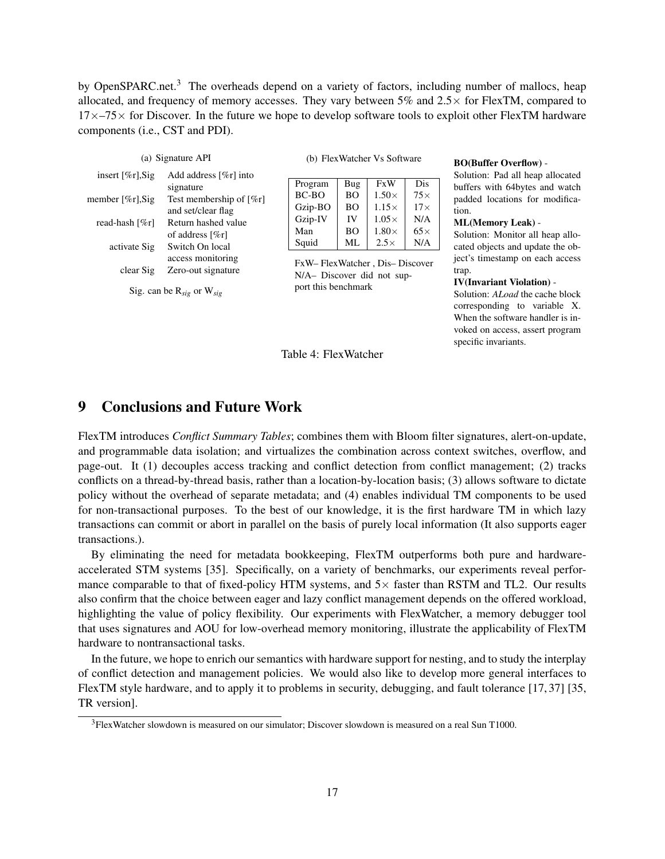by OpenSPARC.net.<sup>3</sup> The overheads depend on a variety of factors, including number of mallocs, heap allocated, and frequency of memory accesses. They vary between 5% and  $2.5\times$  for FlexTM, compared to  $17\times$ –75 $\times$  for Discover. In the future we hope to develop software tools to exploit other FlexTM hardware components (i.e., CST and PDI).

| (a) Signature API     |                                                              |
|-----------------------|--------------------------------------------------------------|
| insert [ $\%$ r], Sig | Add address $[\%r]$ into<br>signature                        |
| member $[\%r]$ , Sig  | Test membership of $\lceil \%r \rceil$<br>and set/clear flag |
| read-hash [%r]        | Return hashed value<br>of address [%r]                       |
| activate Sig          | Switch On local<br>access monitoring                         |
| clear Sig             | Zero-out signature                                           |
|                       | Sig. can be $R_{sig}$ or $W_{sig}$                           |

(b) FlexWatcher Vs Software

| Program | Bug            | <b>FxW</b>   | Dis        |
|---------|----------------|--------------|------------|
| $BC-BO$ | B <sub>O</sub> | $1.50\times$ | $75\times$ |
| Gzip-BO | B <sub>O</sub> | $1.15\times$ | $17\times$ |
| Gzip-IV | IV             | $1.05\times$ | N/A        |
| Man     | B <sub>O</sub> | $1.80\times$ | $65\times$ |
| Squid   | ML.            | $2.5\times$  | N/A        |

FxW– FlexWatcher , Dis– Discover N/A– Discover did not support this benchmark

#### BO(Buffer Overflow) -

Solution: Pad all heap allocated buffers with 64bytes and watch padded locations for modification.

#### ML(Memory Leak) -

Solution: Monitor all heap allocated objects and update the object's timestamp on each access trap.

#### IV(Invariant Violation) -

Solution: *ALoad* the cache block corresponding to variable X. When the software handler is invoked on access, assert program specific invariants.

## 9 Conclusions and Future Work

FlexTM introduces *Conflict Summary Tables*; combines them with Bloom filter signatures, alert-on-update, and programmable data isolation; and virtualizes the combination across context switches, overflow, and page-out. It (1) decouples access tracking and conflict detection from conflict management; (2) tracks conflicts on a thread-by-thread basis, rather than a location-by-location basis; (3) allows software to dictate policy without the overhead of separate metadata; and (4) enables individual TM components to be used for non-transactional purposes. To the best of our knowledge, it is the first hardware TM in which lazy transactions can commit or abort in parallel on the basis of purely local information (It also supports eager transactions.).

Table 4: FlexWatcher

By eliminating the need for metadata bookkeeping, FlexTM outperforms both pure and hardwareaccelerated STM systems [35]. Specifically, on a variety of benchmarks, our experiments reveal performance comparable to that of fixed-policy HTM systems, and  $5\times$  faster than RSTM and TL2. Our results also confirm that the choice between eager and lazy conflict management depends on the offered workload, highlighting the value of policy flexibility. Our experiments with FlexWatcher, a memory debugger tool that uses signatures and AOU for low-overhead memory monitoring, illustrate the applicability of FlexTM hardware to nontransactional tasks.

In the future, we hope to enrich our semantics with hardware support for nesting, and to study the interplay of conflict detection and management policies. We would also like to develop more general interfaces to FlexTM style hardware, and to apply it to problems in security, debugging, and fault tolerance [17, 37] [35, TR version].

<sup>3</sup>FlexWatcher slowdown is measured on our simulator; Discover slowdown is measured on a real Sun T1000.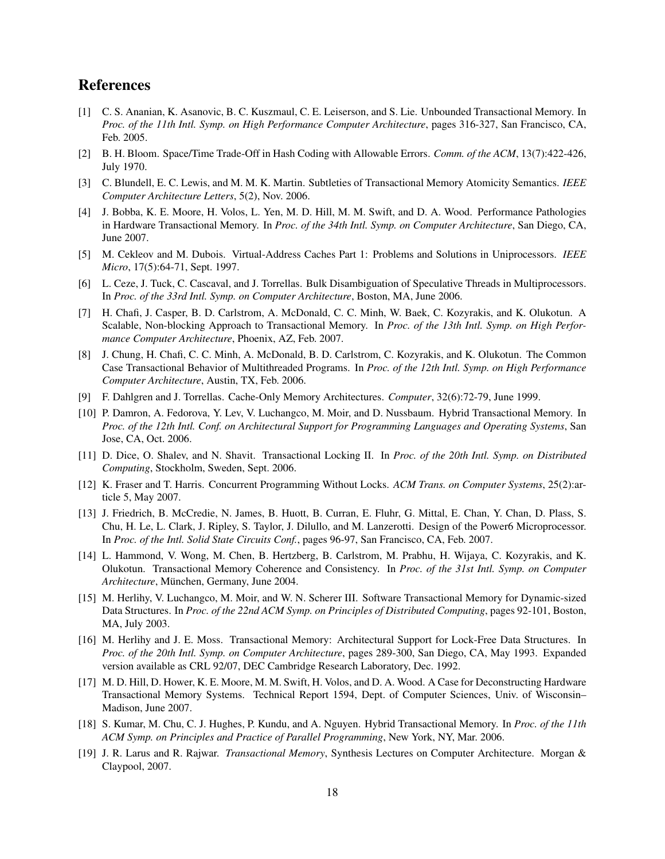## References

- [1] C. S. Ananian, K. Asanovic, B. C. Kuszmaul, C. E. Leiserson, and S. Lie. Unbounded Transactional Memory. In *Proc. of the 11th Intl. Symp. on High Performance Computer Architecture*, pages 316-327, San Francisco, CA, Feb. 2005.
- [2] B. H. Bloom. Space/Time Trade-Off in Hash Coding with Allowable Errors. *Comm. of the ACM*, 13(7):422-426, July 1970.
- [3] C. Blundell, E. C. Lewis, and M. M. K. Martin. Subtleties of Transactional Memory Atomicity Semantics. *IEEE Computer Architecture Letters*, 5(2), Nov. 2006.
- [4] J. Bobba, K. E. Moore, H. Volos, L. Yen, M. D. Hill, M. M. Swift, and D. A. Wood. Performance Pathologies in Hardware Transactional Memory. In *Proc. of the 34th Intl. Symp. on Computer Architecture*, San Diego, CA, June 2007.
- [5] M. Cekleov and M. Dubois. Virtual-Address Caches Part 1: Problems and Solutions in Uniprocessors. *IEEE Micro*, 17(5):64-71, Sept. 1997.
- [6] L. Ceze, J. Tuck, C. Cascaval, and J. Torrellas. Bulk Disambiguation of Speculative Threads in Multiprocessors. In *Proc. of the 33rd Intl. Symp. on Computer Architecture*, Boston, MA, June 2006.
- [7] H. Chafi, J. Casper, B. D. Carlstrom, A. McDonald, C. C. Minh, W. Baek, C. Kozyrakis, and K. Olukotun. A Scalable, Non-blocking Approach to Transactional Memory. In *Proc. of the 13th Intl. Symp. on High Performance Computer Architecture*, Phoenix, AZ, Feb. 2007.
- [8] J. Chung, H. Chafi, C. C. Minh, A. McDonald, B. D. Carlstrom, C. Kozyrakis, and K. Olukotun. The Common Case Transactional Behavior of Multithreaded Programs. In *Proc. of the 12th Intl. Symp. on High Performance Computer Architecture*, Austin, TX, Feb. 2006.
- [9] F. Dahlgren and J. Torrellas. Cache-Only Memory Architectures. *Computer*, 32(6):72-79, June 1999.
- [10] P. Damron, A. Fedorova, Y. Lev, V. Luchangco, M. Moir, and D. Nussbaum. Hybrid Transactional Memory. In *Proc. of the 12th Intl. Conf. on Architectural Support for Programming Languages and Operating Systems*, San Jose, CA, Oct. 2006.
- [11] D. Dice, O. Shalev, and N. Shavit. Transactional Locking II. In *Proc. of the 20th Intl. Symp. on Distributed Computing*, Stockholm, Sweden, Sept. 2006.
- [12] K. Fraser and T. Harris. Concurrent Programming Without Locks. *ACM Trans. on Computer Systems*, 25(2):article 5, May 2007.
- [13] J. Friedrich, B. McCredie, N. James, B. Huott, B. Curran, E. Fluhr, G. Mittal, E. Chan, Y. Chan, D. Plass, S. Chu, H. Le, L. Clark, J. Ripley, S. Taylor, J. Dilullo, and M. Lanzerotti. Design of the Power6 Microprocessor. In *Proc. of the Intl. Solid State Circuits Conf.*, pages 96-97, San Francisco, CA, Feb. 2007.
- [14] L. Hammond, V. Wong, M. Chen, B. Hertzberg, B. Carlstrom, M. Prabhu, H. Wijaya, C. Kozyrakis, and K. Olukotun. Transactional Memory Coherence and Consistency. In *Proc. of the 31st Intl. Symp. on Computer Architecture*, München, Germany, June 2004.
- [15] M. Herlihy, V. Luchangco, M. Moir, and W. N. Scherer III. Software Transactional Memory for Dynamic-sized Data Structures. In *Proc. of the 22nd ACM Symp. on Principles of Distributed Computing*, pages 92-101, Boston, MA, July 2003.
- [16] M. Herlihy and J. E. Moss. Transactional Memory: Architectural Support for Lock-Free Data Structures. In *Proc. of the 20th Intl. Symp. on Computer Architecture*, pages 289-300, San Diego, CA, May 1993. Expanded version available as CRL 92/07, DEC Cambridge Research Laboratory, Dec. 1992.
- [17] M. D. Hill, D. Hower, K. E. Moore, M. M. Swift, H. Volos, and D. A. Wood. A Case for Deconstructing Hardware Transactional Memory Systems. Technical Report 1594, Dept. of Computer Sciences, Univ. of Wisconsin– Madison, June 2007.
- [18] S. Kumar, M. Chu, C. J. Hughes, P. Kundu, and A. Nguyen. Hybrid Transactional Memory. In *Proc. of the 11th ACM Symp. on Principles and Practice of Parallel Programming*, New York, NY, Mar. 2006.
- [19] J. R. Larus and R. Rajwar. *Transactional Memory*, Synthesis Lectures on Computer Architecture. Morgan & Claypool, 2007.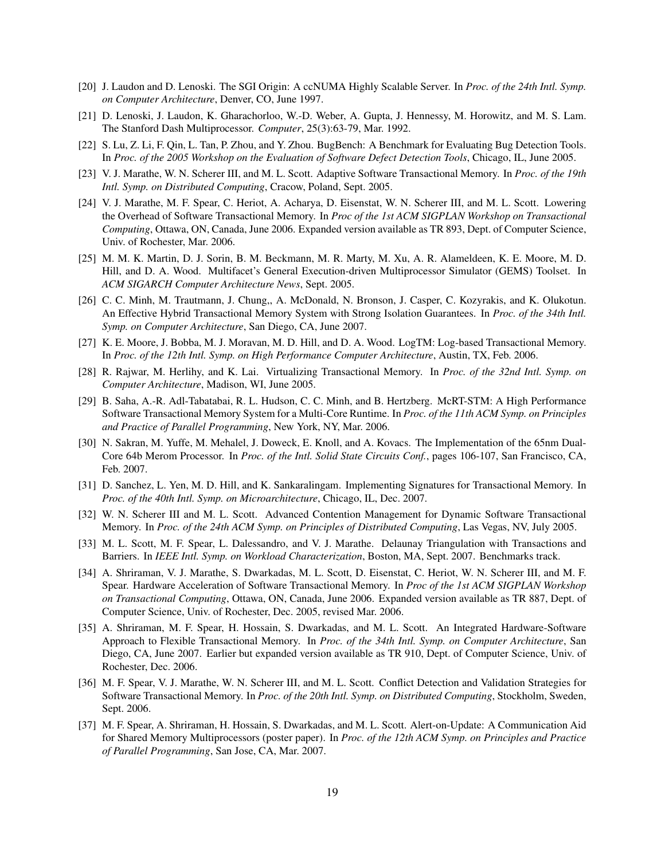- [20] J. Laudon and D. Lenoski. The SGI Origin: A ccNUMA Highly Scalable Server. In *Proc. of the 24th Intl. Symp. on Computer Architecture*, Denver, CO, June 1997.
- [21] D. Lenoski, J. Laudon, K. Gharachorloo, W.-D. Weber, A. Gupta, J. Hennessy, M. Horowitz, and M. S. Lam. The Stanford Dash Multiprocessor. *Computer*, 25(3):63-79, Mar. 1992.
- [22] S. Lu, Z. Li, F. Qin, L. Tan, P. Zhou, and Y. Zhou. BugBench: A Benchmark for Evaluating Bug Detection Tools. In *Proc. of the 2005 Workshop on the Evaluation of Software Defect Detection Tools*, Chicago, IL, June 2005.
- [23] V. J. Marathe, W. N. Scherer III, and M. L. Scott. Adaptive Software Transactional Memory. In *Proc. of the 19th Intl. Symp. on Distributed Computing*, Cracow, Poland, Sept. 2005.
- [24] V. J. Marathe, M. F. Spear, C. Heriot, A. Acharya, D. Eisenstat, W. N. Scherer III, and M. L. Scott. Lowering the Overhead of Software Transactional Memory. In *Proc of the 1st ACM SIGPLAN Workshop on Transactional Computing*, Ottawa, ON, Canada, June 2006. Expanded version available as TR 893, Dept. of Computer Science, Univ. of Rochester, Mar. 2006.
- [25] M. M. K. Martin, D. J. Sorin, B. M. Beckmann, M. R. Marty, M. Xu, A. R. Alameldeen, K. E. Moore, M. D. Hill, and D. A. Wood. Multifacet's General Execution-driven Multiprocessor Simulator (GEMS) Toolset. In *ACM SIGARCH Computer Architecture News*, Sept. 2005.
- [26] C. C. Minh, M. Trautmann, J. Chung,, A. McDonald, N. Bronson, J. Casper, C. Kozyrakis, and K. Olukotun. An Effective Hybrid Transactional Memory System with Strong Isolation Guarantees. In *Proc. of the 34th Intl. Symp. on Computer Architecture*, San Diego, CA, June 2007.
- [27] K. E. Moore, J. Bobba, M. J. Moravan, M. D. Hill, and D. A. Wood. LogTM: Log-based Transactional Memory. In *Proc. of the 12th Intl. Symp. on High Performance Computer Architecture*, Austin, TX, Feb. 2006.
- [28] R. Rajwar, M. Herlihy, and K. Lai. Virtualizing Transactional Memory. In *Proc. of the 32nd Intl. Symp. on Computer Architecture*, Madison, WI, June 2005.
- [29] B. Saha, A.-R. Adl-Tabatabai, R. L. Hudson, C. C. Minh, and B. Hertzberg. McRT-STM: A High Performance Software Transactional Memory System for a Multi-Core Runtime. In *Proc. of the 11th ACM Symp. on Principles and Practice of Parallel Programming*, New York, NY, Mar. 2006.
- [30] N. Sakran, M. Yuffe, M. Mehalel, J. Doweck, E. Knoll, and A. Kovacs. The Implementation of the 65nm Dual-Core 64b Merom Processor. In *Proc. of the Intl. Solid State Circuits Conf.*, pages 106-107, San Francisco, CA, Feb. 2007.
- [31] D. Sanchez, L. Yen, M. D. Hill, and K. Sankaralingam. Implementing Signatures for Transactional Memory. In *Proc. of the 40th Intl. Symp. on Microarchitecture*, Chicago, IL, Dec. 2007.
- [32] W. N. Scherer III and M. L. Scott. Advanced Contention Management for Dynamic Software Transactional Memory. In *Proc. of the 24th ACM Symp. on Principles of Distributed Computing*, Las Vegas, NV, July 2005.
- [33] M. L. Scott, M. F. Spear, L. Dalessandro, and V. J. Marathe. Delaunay Triangulation with Transactions and Barriers. In *IEEE Intl. Symp. on Workload Characterization*, Boston, MA, Sept. 2007. Benchmarks track.
- [34] A. Shriraman, V. J. Marathe, S. Dwarkadas, M. L. Scott, D. Eisenstat, C. Heriot, W. N. Scherer III, and M. F. Spear. Hardware Acceleration of Software Transactional Memory. In *Proc of the 1st ACM SIGPLAN Workshop on Transactional Computing*, Ottawa, ON, Canada, June 2006. Expanded version available as TR 887, Dept. of Computer Science, Univ. of Rochester, Dec. 2005, revised Mar. 2006.
- [35] A. Shriraman, M. F. Spear, H. Hossain, S. Dwarkadas, and M. L. Scott. An Integrated Hardware-Software Approach to Flexible Transactional Memory. In *Proc. of the 34th Intl. Symp. on Computer Architecture*, San Diego, CA, June 2007. Earlier but expanded version available as TR 910, Dept. of Computer Science, Univ. of Rochester, Dec. 2006.
- [36] M. F. Spear, V. J. Marathe, W. N. Scherer III, and M. L. Scott. Conflict Detection and Validation Strategies for Software Transactional Memory. In *Proc. of the 20th Intl. Symp. on Distributed Computing*, Stockholm, Sweden, Sept. 2006.
- [37] M. F. Spear, A. Shriraman, H. Hossain, S. Dwarkadas, and M. L. Scott. Alert-on-Update: A Communication Aid for Shared Memory Multiprocessors (poster paper). In *Proc. of the 12th ACM Symp. on Principles and Practice of Parallel Programming*, San Jose, CA, Mar. 2007.